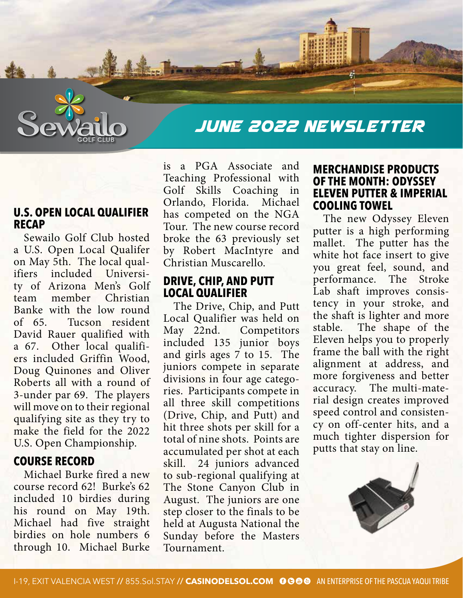

# JUNE 2022 NEWSLETTER

## **U.S. OPEN LOCAL QUALIFIER RECAP**

Sewailo Golf Club hosted a U.S. Open Local Qualifer on May 5th. The local qualifiers included University of Arizona Men's Golf team member Christian Banke with the low round of 65. Tucson resident David Rauer qualified with a 67. Other local qualifiers included Griffin Wood, Doug Quinones and Oliver Roberts all with a round of 3-under par 69. The players will move on to their regional qualifying site as they try to make the field for the 2022 U.S. Open Championship.

## **COURSE RECORD**

Michael Burke fired a new course record 62! Burke's 62 included 10 birdies during his round on May 19th. Michael had five straight birdies on hole numbers 6 through 10. Michael Burke

is a PGA Associate and Teaching Professional with Golf Skills Coaching in Orlando, Florida. Michael has competed on the NGA Tour. The new course record broke the 63 previously set by Robert MacIntyre and Christian Muscarello.

#### **DRIVE, CHIP, AND PUTT LOCAL QUALIFIER**

The Drive, Chip, and Putt Local Qualifier was held on May 22nd. Competitors included 135 junior boys and girls ages 7 to 15. The juniors compete in separate divisions in four age categories. Participants compete in all three skill competitions (Drive, Chip, and Putt) and hit three shots per skill for a total of nine shots. Points are accumulated per shot at each skill. 24 juniors advanced to sub-regional qualifying at The Stone Canyon Club in August. The juniors are one step closer to the finals to be held at Augusta National the Sunday before the Masters Tournament.

#### **MERCHANDISE PRODUCTS OF THE MONTH: ODYSSEY ELEVEN PUTTER & IMPERIAL COOLING TOWEL**

The new Odyssey Eleven putter is a high performing mallet. The putter has the white hot face insert to give you great feel, sound, and performance. The Stroke Lab shaft improves consistency in your stroke, and the shaft is lighter and more stable. The shape of the Eleven helps you to properly frame the ball with the right alignment at address, and more forgiveness and better accuracy. The multi-material design creates improved speed control and consistency on off-center hits, and a much tighter dispersion for putts that stay on line.